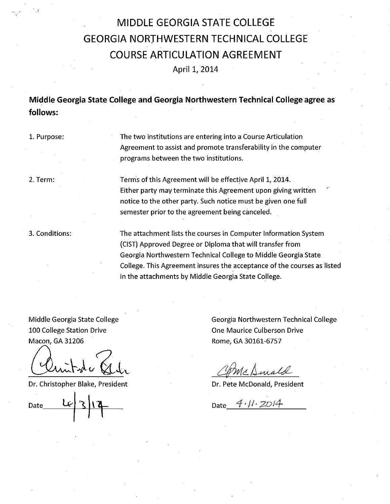## **MIDDLE GEORGIA STATE COLLEGE GEORGIA NORTHWESTERN TECHNICAL COLLEGE COURSE ARTICULATION AGREEMENT**

April 1, 2014

**Middle Georgia State College and Georgia Northwestern Technical College agree as follows:** 

1. Purpose:

'.I

The two institutions are entering into a Course Articulation Agreement to assist and promote transferability in the computer programs between the two institutions.

2. Term:

Terms of this Agreement will be effective April 1, 2014. Either party may terminate this Agreement upon giving written notice to the other party. Such notice must be given one full semester prior to the agreement being canceled.

3. Conditions:

The attachment lists the courses in Computer Information System {CIST) Approved Degree or Diploma that will transfer from Georgia Northwestern Technical College to Middle Georgia State College. This Agreement insures the acceptance of the courses as listed in the attachments by Middle Georgia State College.

Middle Georgia State College 100 College Station Drive

Macon, GA 31206<br>Clintote Abr Cliff (philosophie Rome, GA 30161-6757

Dr. Christopher Blake, President Number 2012 19: 2014 Dr. Pete McDonald, President

Date

Georgia Northwestern Technical College One Maurice Culberson Drive

Come Dirald

 $Date \frac{4.11.2014}{ }$